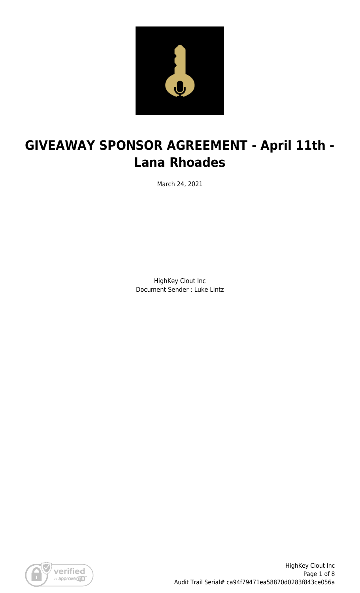

# **GIVEAWAY SPONSOR AGREEMENT - April 11th - Lana Rhoades**

March 24, 2021

HighKey Clout Inc Document Sender : Luke Lintz

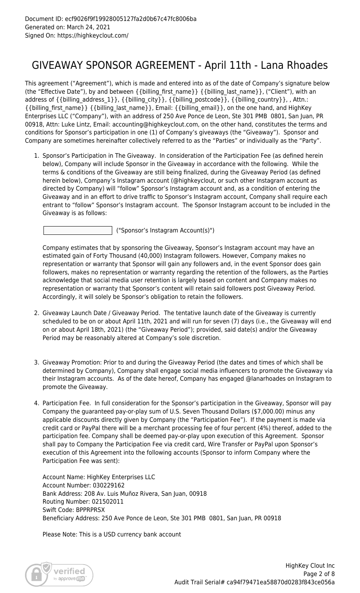### GIVEAWAY SPONSOR AGREEMENT - April 11th - Lana Rhoades

This agreement ("Agreement"), which is made and entered into as of the date of Company's signature below (the "Effective Date"), by and between {{billing\_first\_name}} {{billing\_last\_name}}, ("Client"), with an address of {{billing\_address\_1}}, {{billing\_city}}, {{billing\_postcode}}, {{billing\_country}}, , Attn.: {{billing\_first\_name}} {{billing\_last\_name}}, Email: {{billing\_email}}, on the one hand, and HighKey Enterprises LLC ("Company"), with an address of 250 Ave Ponce de Leon, Ste 301 PMB 0801, San Juan, PR 00918, Attn: Luke Lintz, Email: accounting@highkeyclout.com, on the other hand, constitutes the terms and conditions for Sponsor's participation in one (1) of Company's giveaways (the "Giveaway"). Sponsor and Company are sometimes hereinafter collectively referred to as the "Parties" or individually as the "Party".

1. Sponsor's Participation in The Giveaway. In consideration of the Participation Fee (as defined herein below), Company will include Sponsor in the Giveaway in accordance with the following. While the terms & conditions of the Giveaway are still being finalized, during the Giveaway Period (as defined herein below), Company's Instagram account (@highkeyclout, or such other Instagram account as directed by Company) will "follow" Sponsor's Instagram account and, as a condition of entering the Giveaway and in an effort to drive traffic to Sponsor's Instagram account, Company shall require each entrant to "follow" Sponsor's Instagram account. The Sponsor Instagram account to be included in the Giveaway is as follows:

("Sponsor's Instagram Account(s)")

Company estimates that by sponsoring the Giveaway, Sponsor's Instagram account may have an estimated gain of Forty Thousand (40,000) Instagram followers. However, Company makes no representation or warranty that Sponsor will gain any followers and, in the event Sponsor does gain followers, makes no representation or warranty regarding the retention of the followers, as the Parties acknowledge that social media user retention is largely based on content and Company makes no representation or warranty that Sponsor's content will retain said followers post Giveaway Period. Accordingly, it will solely be Sponsor's obligation to retain the followers.

- 2. Giveaway Launch Date / Giveaway Period. The tentative launch date of the Giveaway is currently scheduled to be on or about April 11th, 2021 and will run for seven (7) days (i.e., the Giveaway will end on or about April 18th, 2021) (the "Giveaway Period"); provided, said date(s) and/or the Giveaway Period may be reasonably altered at Company's sole discretion.
- 3. Giveaway Promotion: Prior to and during the Giveaway Period (the dates and times of which shall be determined by Company), Company shall engage social media influencers to promote the Giveaway via their Instagram accounts. As of the date hereof, Company has engaged @lanarhoades on Instagram to promote the Giveaway.
- 4. Participation Fee. In full consideration for the Sponsor's participation in the Giveaway, Sponsor will pay Company the guaranteed pay-or-play sum of U.S. Seven Thousand Dollars (\$7,000.00) minus any applicable discounts directly given by Company (the "Participation Fee"). If the payment is made via credit card or PayPal there will be a merchant processing fee of four percent (4%) thereof, added to the participation fee. Company shall be deemed pay-or-play upon execution of this Agreement. Sponsor shall pay to Company the Participation Fee via credit card, Wire Transfer or PayPal upon Sponsor's execution of this Agreement into the following accounts (Sponsor to inform Company where the Participation Fee was sent):

Account Name: HighKey Enterprises LLC Account Number: 030229162 Bank Address: 208 Av. Luis Muñoz Rivera, San Juan, 00918 Routing Number: 021502011 Swift Code: BPPRPRSX Beneficiary Address: 250 Ave Ponce de Leon, Ste 301 PMB 0801, San Juan, PR 00918

Please Note: This is a USD currency bank account

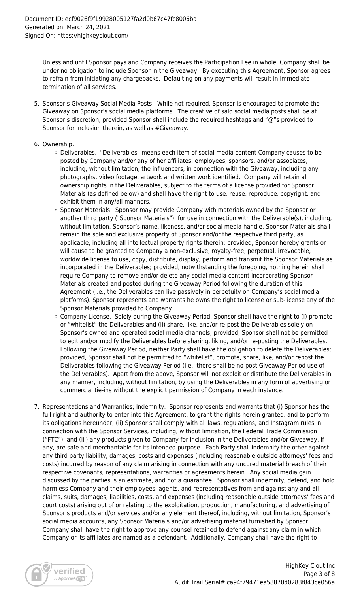Unless and until Sponsor pays and Company receives the Participation Fee in whole, Company shall be under no obligation to include Sponsor in the Giveaway. By executing this Agreement, Sponsor agrees to refrain from initiating any chargebacks. Defaulting on any payments will result in immediate termination of all services.

- 5. Sponsor's Giveaway Social Media Posts. While not required, Sponsor is encouraged to promote the Giveaway on Sponsor's social media platforms. The creative of said social media posts shall be at Sponsor's discretion, provided Sponsor shall include the required hashtags and "@"s provided to Sponsor for inclusion therein, as well as #Giveaway.
- 6. Ownership.
	- Deliverables. "Deliverables" means each item of social media content Company causes to be posted by Company and/or any of her affiliates, employees, sponsors, and/or associates, including, without limitation, the influencers, in connection with the Giveaway, including any photographs, video footage, artwork and written work identified. Company will retain all ownership rights in the Deliverables, subject to the terms of a license provided for Sponsor Materials (as defined below) and shall have the right to use, reuse, reproduce, copyright, and exhibit them in any/all manners.
	- o Sponsor Materials. Sponsor may provide Company with materials owned by the Sponsor or another third party ("Sponsor Materials"), for use in connection with the Deliverable(s), including, without limitation, Sponsor's name, likeness, and/or social media handle. Sponsor Materials shall remain the sole and exclusive property of Sponsor and/or the respective third party, as applicable, including all intellectual property rights therein; provided, Sponsor hereby grants or will cause to be granted to Company a non-exclusive, royalty-free, perpetual, irrevocable, worldwide license to use, copy, distribute, display, perform and transmit the Sponsor Materials as incorporated in the Deliverables; provided, notwithstanding the foregoing, nothing herein shall require Company to remove and/or delete any social media content incorporating Sponsor Materials created and posted during the Giveaway Period following the duration of this Agreement (i.e., the Deliverables can live passively in perpetuity on Company's social media platforms). Sponsor represents and warrants he owns the right to license or sub-license any of the Sponsor Materials provided to Company.
	- o Company License. Solely during the Giveaway Period, Sponsor shall have the right to (i) promote or "whitelist" the Deliverables and (ii) share, like, and/or re-post the Deliverables solely on Sponsor's owned and operated social media channels; provided, Sponsor shall not be permitted to edit and/or modify the Deliverables before sharing, liking, and/or re-posting the Deliverables. Following the Giveaway Period, neither Party shall have the obligation to delete the Deliverables; provided, Sponsor shall not be permitted to "whitelist", promote, share, like, and/or repost the Deliverables following the Giveaway Period (i.e., there shall be no post Giveaway Period use of the Deliverables). Apart from the above, Sponsor will not exploit or distribute the Deliverables in any manner, including, without limitation, by using the Deliverables in any form of advertising or commercial tie-ins without the explicit permission of Company in each instance.
- 7. Representations and Warranties; Indemnity. Sponsor represents and warrants that (i) Sponsor has the full right and authority to enter into this Agreement, to grant the rights herein granted, and to perform its obligations hereunder; (ii) Sponsor shall comply with all laws, regulations, and Instagram rules in connection with the Sponsor Services, including, without limitation, the Federal Trade Commission ("FTC"); and (iii) any products given to Company for inclusion in the Deliverables and/or Giveaway, if any, are safe and merchantable for its intended purpose. Each Party shall indemnify the other against any third party liability, damages, costs and expenses (including reasonable outside attorneys' fees and costs) incurred by reason of any claim arising in connection with any uncured material breach of their respective covenants, representations, warranties or agreements herein. Any social media gain discussed by the parties is an estimate, and not a guarantee. Sponsor shall indemnify, defend, and hold harmless Company and their employees, agents, and representatives from and against any and all claims, suits, damages, liabilities, costs, and expenses (including reasonable outside attorneys' fees and court costs) arising out of or relating to the exploitation, production, manufacturing, and advertising of Sponsor's products and/or services and/or any element thereof, including, without limitation, Sponsor's social media accounts, any Sponsor Materials and/or advertising material furnished by Sponsor. Company shall have the right to approve any counsel retained to defend against any claim in which Company or its affiliates are named as a defendant. Additionally, Company shall have the right to

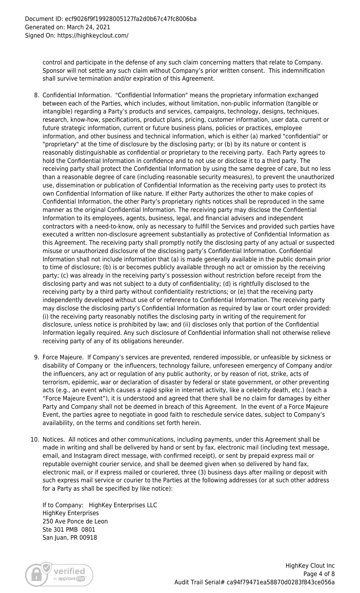control and participate in the defense of any such claim concerning matters that relate to Company. Sponsor will not settle any such claim without Company's prior written consent. This indemnification shall survive termination and/or expiration of this Agreement.

- 8. Confidential Information. "Confidential Information" means the proprietary information exchanged between each of the Parties, which includes, without limitation, non-public information (tangible or intangible) regarding a Party's products and services, campaigns, technology, designs, techniques, research, know-how, specifications, product plans, pricing, customer information, user data, current or future strategic information, current or future business plans, policies or practices, employee information, and other business and technical information, which is either (a) marked "confidential" or "proprietary" at the time of disclosure by the disclosing party; or (b) by its nature or content is reasonably distinguishable as confidential or proprietary to the receiving party. Each Party agrees to hold the Confidential Information in confidence and to not use or disclose it to a third party. The receiving party shall protect the Confidential Information by using the same degree of care, but no less than a reasonable degree of care (including reasonable security measures), to prevent the unauthorized use, dissemination or publication of Confidential Information as the receiving party uses to protect its own Confidential Information of like nature. If either Party authorizes the other to make copies of Confidential Information, the other Party's proprietary rights notices shall be reproduced in the same manner as the original Confidential Information. The receiving party may disclose the Confidential Information to its employees, agents, business, legal, and financial advisers and independent contractors with a need-to-know, only as necessary to fulfill the Services and provided such parties have executed a written non-disclosure agreement substantially as protective of Confidential Information as this Agreement. The receiving party shall promptly notify the disclosing party of any actual or suspected misuse or unauthorized disclosure of the disclosing party's Confidential Information. Confidential Information shall not include information that (a) is made generally available in the public domain prior to time of disclosure; (b) is or becomes publicly available through no act or omission by the receiving party; (c) was already in the receiving party's possession without restriction before receipt from the disclosing party and was not subject to a duty of confidentiality; (d) is rightfully disclosed to the receiving party by a third party without confidentiality restrictions; or (e) that the receiving party independently developed without use of or reference to Confidential Information. The receiving party may disclose the disclosing party's Confidential Information as required by law or court order provided: (i) the receiving party reasonably notifies the disclosing party in writing of the requirement for disclosure, unless notice is prohibited by law; and (ii) discloses only that portion of the Confidential Information legally required. Any such disclosure of Confidential Information shall not otherwise relieve receiving party of any of its obligations hereunder.
- 9. Force Majeure. If Company's services are prevented, rendered impossible, or unfeasible by sickness or disability of Company or the influencers, technology failure, unforeseen emergency of Company and/or the influencers, any act or regulation of any public authority, or by reason of riot, strike, acts of terrorism, epidemic, war or declaration of disaster by federal or state government, or other preventing acts (e.g., an event which causes a rapid spike in internet activity, like a celebrity death, etc.) (each a "Force Majeure Event"), it is understood and agreed that there shall be no claim for damages by either Party and Company shall not be deemed in breach of this Agreement. In the event of a Force Majeure Event, the parties agree to negotiate in good faith to reschedule service dates, subject to Company's availability, on the terms and conditions set forth herein.
- 10. Notices. All notices and other communications, including payments, under this Agreement shall be made in writing and shall be delivered by hand or sent by fax, electronic mail (including text message, email, and Instagram direct message, with confirmed receipt), or sent by prepaid express mail or reputable overnight courier service, and shall be deemed given when so delivered by hand fax, electronic mail, or if express mailed or couriered, three (3) business days after mailing or deposit with such express mail service or courier to the Parties at the following addresses (or at such other address for a Party as shall be specified by like notice):

If to Company: HighKey Enterprises LLC HighKey Enterprises 250 Ave Ponce de Leon Ste 301 PMB 0801 San Juan, PR 00918

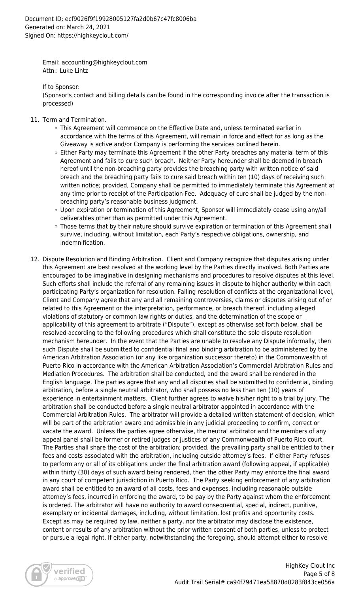Email: accounting@highkeyclout.com Attn.: Luke Lintz

If to Sponsor:

(Sponsor's contact and billing details can be found in the corresponding invoice after the transaction is processed)

- 11. Term and Termination.
	- This Agreement will commence on the Effective Date and, unless terminated earlier in accordance with the terms of this Agreement, will remain in force and effect for as long as the Giveaway is active and/or Company is performing the services outlined herein.
	- $\circ$  Either Party may terminate this Agreement if the other Party breaches any material term of this Agreement and fails to cure such breach. Neither Party hereunder shall be deemed in breach hereof until the non-breaching party provides the breaching party with written notice of said breach and the breaching party fails to cure said breach within ten (10) days of receiving such written notice; provided, Company shall be permitted to immediately terminate this Agreement at any time prior to receipt of the Participation Fee. Adequacy of cure shall be judged by the nonbreaching party's reasonable business judgment.
	- Upon expiration or termination of this Agreement, Sponsor will immediately cease using any/all deliverables other than as permitted under this Agreement.
	- Those terms that by their nature should survive expiration or termination of this Agreement shall survive, including, without limitation, each Party's respective obligations, ownership, and indemnification.
- 12. Dispute Resolution and Binding Arbitration. Client and Company recognize that disputes arising under this Agreement are best resolved at the working level by the Parties directly involved. Both Parties are encouraged to be imaginative in designing mechanisms and procedures to resolve disputes at this level. Such efforts shall include the referral of any remaining issues in dispute to higher authority within each participating Party's organization for resolution. Failing resolution of conflicts at the organizational level, Client and Company agree that any and all remaining controversies, claims or disputes arising out of or related to this Agreement or the interpretation, performance, or breach thereof, including alleged violations of statutory or common law rights or duties, and the determination of the scope or applicability of this agreement to arbitrate ("Dispute"), except as otherwise set forth below, shall be resolved according to the following procedures which shall constitute the sole dispute resolution mechanism hereunder. In the event that the Parties are unable to resolve any Dispute informally, then such Dispute shall be submitted to confidential final and binding arbitration to be administered by the American Arbitration Association (or any like organization successor thereto) in the Commonwealth of Puerto Rico in accordance with the American Arbitration Association's Commercial Arbitration Rules and Mediation Procedures. The arbitration shall be conducted, and the award shall be rendered in the English language. The parties agree that any and all disputes shall be submitted to confidential, binding arbitration, before a single neutral arbitrator, who shall possess no less than ten (10) years of experience in entertainment matters. Client further agrees to waive his/her right to a trial by jury. The arbitration shall be conducted before a single neutral arbitrator appointed in accordance with the Commercial Arbitration Rules. The arbitrator will provide a detailed written statement of decision, which will be part of the arbitration award and admissible in any judicial proceeding to confirm, correct or vacate the award. Unless the parties agree otherwise, the neutral arbitrator and the members of any appeal panel shall be former or retired judges or justices of any Commonwealth of Puerto Rico court. The Parties shall share the cost of the arbitration; provided, the prevailing party shall be entitled to their fees and costs associated with the arbitration, including outside attorney's fees. If either Party refuses to perform any or all of its obligations under the final arbitration award (following appeal, if applicable) within thirty (30) days of such award being rendered, then the other Party may enforce the final award in any court of competent jurisdiction in Puerto Rico. The Party seeking enforcement of any arbitration award shall be entitled to an award of all costs, fees and expenses, including reasonable outside attorney's fees, incurred in enforcing the award, to be pay by the Party against whom the enforcement is ordered. The arbitrator will have no authority to award consequential, special, indirect, punitive, exemplary or incidental damages, including, without limitation, lost profits and opportunity costs. Except as may be required by law, neither a party, nor the arbitrator may disclose the existence, content or results of any arbitration without the prior written consent of both parties, unless to protect or pursue a legal right. If either party, notwithstanding the foregoing, should attempt either to resolve

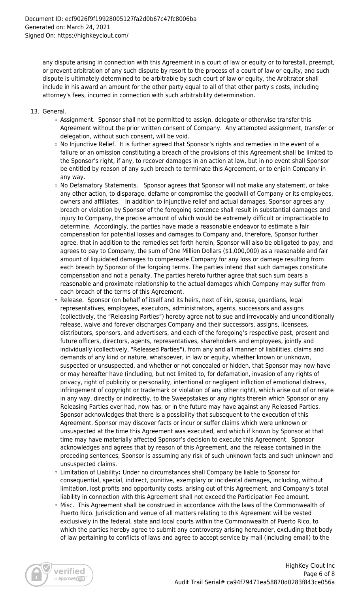any dispute arising in connection with this Agreement in a court of law or equity or to forestall, preempt, or prevent arbitration of any such dispute by resort to the process of a court of law or equity, and such dispute is ultimately determined to be arbitrable by such court of law or equity, the Arbitrator shall include in his award an amount for the other party equal to all of that other party's costs, including attorney's fees, incurred in connection with such arbitrability determination.

- 13. General.
	- $\circ$  Assignment. Sponsor shall not be permitted to assign, delegate or otherwise transfer this Agreement without the prior written consent of Company. Any attempted assignment, transfer or delegation, without such consent, will be void.
	- $\circ$  No Injunctive Relief. It is further agreed that Sponsor's rights and remedies in the event of a failure or an omission constituting a breach of the provisions of this Agreement shall be limited to the Sponsor's right, if any, to recover damages in an action at law, but in no event shall Sponsor be entitled by reason of any such breach to terminate this Agreement, or to enjoin Company in any way.
	- $\circ$  No Defamatory Statements. Sponsor agrees that Sponsor will not make any statement, or take any other action, to disparage, defame or compromise the goodwill of Company or its employees, owners and affiliates. In addition to injunctive relief and actual damages, Sponsor agrees any breach or violation by Sponsor of the foregoing sentence shall result in substantial damages and injury to Company, the precise amount of which would be extremely difficult or impracticable to determine. Accordingly, the parties have made a reasonable endeavor to estimate a fair compensation for potential losses and damages to Company and, therefore, Sponsor further agree, that in addition to the remedies set forth herein, Sponsor will also be obligated to pay, and agrees to pay to Company, the sum of One Million Dollars (\$1,000,000) as a reasonable and fair amount of liquidated damages to compensate Company for any loss or damage resulting from each breach by Sponsor of the forgoing terms. The parties intend that such damages constitute compensation and not a penalty. The parties hereto further agree that such sum bears a reasonable and proximate relationship to the actual damages which Company may suffer from each breach of the terms of this Agreement.
	- $\circ$  Release. Sponsor (on behalf of itself and its heirs, next of kin, spouse, guardians, legal representatives, employees, executors, administrators, agents, successors and assigns (collectively, the "Releasing Parties") hereby agree not to sue and irrevocably and unconditionally release, waive and forever discharges Company and their successors, assigns, licensees, distributors, sponsors, and advertisers, and each of the foregoing's respective past, present and future officers, directors, agents, representatives, shareholders and employees, jointly and individually (collectively, "Released Parties"), from any and all manner of liabilities, claims and demands of any kind or nature, whatsoever, in law or equity, whether known or unknown, suspected or unsuspected, and whether or not concealed or hidden, that Sponsor may now have or may hereafter have (including, but not limited to, for defamation, invasion of any rights of privacy, right of publicity or personality, intentional or negligent infliction of emotional distress, infringement of copyright or trademark or violation of any other right), which arise out of or relate in any way, directly or indirectly, to the Sweepstakes or any rights therein which Sponsor or any Releasing Parties ever had, now has, or in the future may have against any Released Parties. Sponsor acknowledges that there is a possibility that subsequent to the execution of this Agreement, Sponsor may discover facts or incur or suffer claims which were unknown or unsuspected at the time this Agreement was executed, and which if known by Sponsor at that time may have materially affected Sponsor's decision to execute this Agreement. Sponsor acknowledges and agrees that by reason of this Agreement, and the release contained in the preceding sentences, Sponsor is assuming any risk of such unknown facts and such unknown and unsuspected claims.
	- Limitation of Liability**:** Under no circumstances shall Company be liable to Sponsor for consequential, special, indirect, punitive, exemplary or incidental damages, including, without limitation, lost profits and opportunity costs, arising out of this Agreement, and Company's total liability in connection with this Agreement shall not exceed the Participation Fee amount.
	- $\circ$  Misc. This Agreement shall be construed in accordance with the laws of the Commonwealth of Puerto Rico. Jurisdiction and venue of all matters relating to this Agreement will be vested exclusively in the federal, state and local courts within the Commonwealth of Puerto Rico, to which the parties hereby agree to submit any controversy arising hereunder, excluding that body of law pertaining to conflicts of laws and agree to accept service by mail (including email) to the

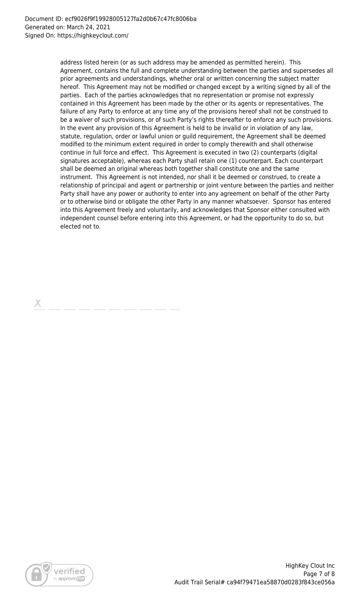address listed herein (or as such address may be amended as permitted herein). This Agreement, contains the full and complete understanding between the parties and supersedes all prior agreements and understandings, whether oral or written concerning the subject matter hereof. This Agreement may not be modified or changed except by a writing signed by all of the parties. Each of the parties acknowledges that no representation or promise not expressly contained in this Agreement has been made by the other or its agents or representatives. The failure of any Party to enforce at any time any of the provisions hereof shall not be construed to be a waiver of such provisions, or of such Party's rights thereafter to enforce any such provisions. In the event any provision of this Agreement is held to be invalid or in violation of any law, statute, regulation, order or lawful union or guild requirement, the Agreement shall be deemed modified to the minimum extent required in order to comply therewith and shall otherwise continue in full force and effect. This Agreement is executed in two (2) counterparts (digital signatures acceptable), whereas each Party shall retain one (1) counterpart. Each counterpart shall be deemed an original whereas both together shall constitute one and the same instrument. This Agreement is not intended, nor shall it be deemed or construed, to create a relationship of principal and agent or partnership or joint venture between the parties and neither Party shall have any power or authority to enter into any agreement on behalf of the other Party or to otherwise bind or obligate the other Party in any manner whatsoever. Sponsor has entered into this Agreement freely and voluntarily, and acknowledges that Sponsor either consulted with independent counsel before entering into this Agreement, or had the opportunity to do so, but elected not to.